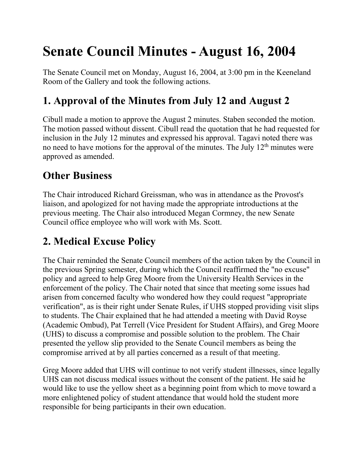# **Senate Council Minutes - August 16, 2004**

The Senate Council met on Monday, August 16, 2004, at 3:00 pm in the Keeneland Room of the Gallery and took the following actions.

## **1. Approval of the Minutes from July 12 and August 2**

Cibull made a motion to approve the August 2 minutes. Staben seconded the motion. The motion passed without dissent. Cibull read the quotation that he had requested for inclusion in the July 12 minutes and expressed his approval. Tagavi noted there was no need to have motions for the approval of the minutes. The July  $12<sup>th</sup>$  minutes were approved as amended.

## **Other Business**

The Chair introduced Richard Greissman, who was in attendance as the Provost's liaison, and apologized for not having made the appropriate introductions at the previous meeting. The Chair also introduced Megan Cormney, the new Senate Council office employee who will work with Ms. Scott.

## **2. Medical Excuse Policy**

The Chair reminded the Senate Council members of the action taken by the Council in the previous Spring semester, during which the Council reaffirmed the "no excuse" policy and agreed to help Greg Moore from the University Health Services in the enforcement of the policy. The Chair noted that since that meeting some issues had arisen from concerned faculty who wondered how they could request "appropriate verification", as is their right under Senate Rules, if UHS stopped providing visit slips to students. The Chair explained that he had attended a meeting with David Royse (Academic Ombud), Pat Terrell (Vice President for Student Affairs), and Greg Moore (UHS) to discuss a compromise and possible solution to the problem. The Chair presented the yellow slip provided to the Senate Council members as being the compromise arrived at by all parties concerned as a result of that meeting.

Greg Moore added that UHS will continue to not verify student illnesses, since legally UHS can not discuss medical issues without the consent of the patient. He said he would like to use the yellow sheet as a beginning point from which to move toward a more enlightened policy of student attendance that would hold the student more responsible for being participants in their own education.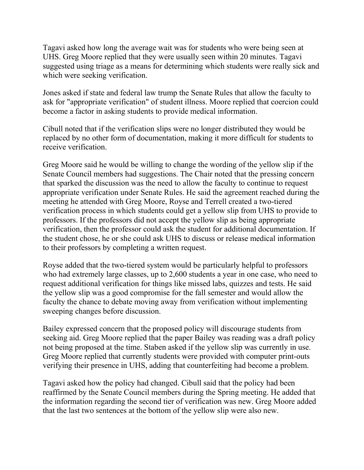Tagavi asked how long the average wait was for students who were being seen at UHS. Greg Moore replied that they were usually seen within 20 minutes. Tagavi suggested using triage as a means for determining which students were really sick and which were seeking verification.

Jones asked if state and federal law trump the Senate Rules that allow the faculty to ask for "appropriate verification" of student illness. Moore replied that coercion could become a factor in asking students to provide medical information.

Cibull noted that if the verification slips were no longer distributed they would be replaced by no other form of documentation, making it more difficult for students to receive verification.

Greg Moore said he would be willing to change the wording of the yellow slip if the Senate Council members had suggestions. The Chair noted that the pressing concern that sparked the discussion was the need to allow the faculty to continue to request appropriate verification under Senate Rules. He said the agreement reached during the meeting he attended with Greg Moore, Royse and Terrell created a two-tiered verification process in which students could get a yellow slip from UHS to provide to professors. If the professors did not accept the yellow slip as being appropriate verification, then the professor could ask the student for additional documentation. If the student chose, he or she could ask UHS to discuss or release medical information to their professors by completing a written request.

Royse added that the two-tiered system would be particularly helpful to professors who had extremely large classes, up to 2,600 students a year in one case, who need to request additional verification for things like missed labs, quizzes and tests. He said the yellow slip was a good compromise for the fall semester and would allow the faculty the chance to debate moving away from verification without implementing sweeping changes before discussion.

Bailey expressed concern that the proposed policy will discourage students from seeking aid. Greg Moore replied that the paper Bailey was reading was a draft policy not being proposed at the time. Staben asked if the yellow slip was currently in use. Greg Moore replied that currently students were provided with computer print-outs verifying their presence in UHS, adding that counterfeiting had become a problem.

Tagavi asked how the policy had changed. Cibull said that the policy had been reaffirmed by the Senate Council members during the Spring meeting. He added that the information regarding the second tier of verification was new. Greg Moore added that the last two sentences at the bottom of the yellow slip were also new.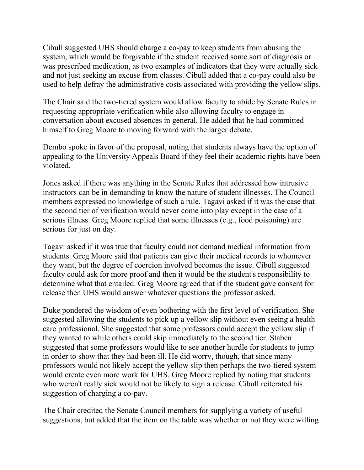Cibull suggested UHS should charge a co-pay to keep students from abusing the system, which would be forgivable if the student received some sort of diagnosis or was prescribed medication, as two examples of indicators that they were actually sick and not just seeking an excuse from classes. Cibull added that a co-pay could also be used to help defray the administrative costs associated with providing the yellow slips.

The Chair said the two-tiered system would allow faculty to abide by Senate Rules in requesting appropriate verification while also allowing faculty to engage in conversation about excused absences in general. He added that he had committed himself to Greg Moore to moving forward with the larger debate.

Dembo spoke in favor of the proposal, noting that students always have the option of appealing to the University Appeals Board if they feel their academic rights have been violated.

Jones asked if there was anything in the Senate Rules that addressed how intrusive instructors can be in demanding to know the nature of student illnesses. The Council members expressed no knowledge of such a rule. Tagavi asked if it was the case that the second tier of verification would never come into play except in the case of a serious illness. Greg Moore replied that some illnesses (e.g., food poisoning) are serious for just on day.

Tagavi asked if it was true that faculty could not demand medical information from students. Greg Moore said that patients can give their medical records to whomever they want, but the degree of coercion involved becomes the issue. Cibull suggested faculty could ask for more proof and then it would be the student's responsibility to determine what that entailed. Greg Moore agreed that if the student gave consent for release then UHS would answer whatever questions the professor asked.

Duke pondered the wisdom of even bothering with the first level of verification. She suggested allowing the students to pick up a yellow slip without even seeing a health care professional. She suggested that some professors could accept the yellow slip if they wanted to while others could skip immediately to the second tier. Staben suggested that some professors would like to see another hurdle for students to jump in order to show that they had been ill. He did worry, though, that since many professors would not likely accept the yellow slip then perhaps the two-tiered system would create even more work for UHS. Greg Moore replied by noting that students who weren't really sick would not be likely to sign a release. Cibull reiterated his suggestion of charging a co-pay.

The Chair credited the Senate Council members for supplying a variety of useful suggestions, but added that the item on the table was whether or not they were willing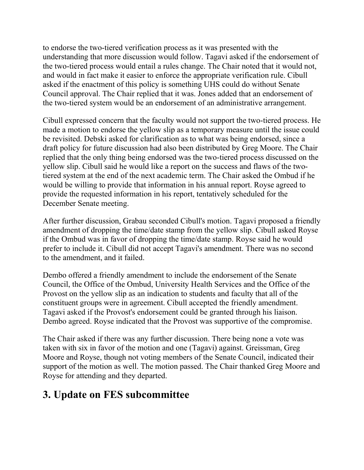to endorse the two-tiered verification process as it was presented with the understanding that more discussion would follow. Tagavi asked if the endorsement of the two-tiered process would entail a rules change. The Chair noted that it would not, and would in fact make it easier to enforce the appropriate verification rule. Cibull asked if the enactment of this policy is something UHS could do without Senate Council approval. The Chair replied that it was. Jones added that an endorsement of the two-tiered system would be an endorsement of an administrative arrangement.

Cibull expressed concern that the faculty would not support the two-tiered process. He made a motion to endorse the yellow slip as a temporary measure until the issue could be revisited. Debski asked for clarification as to what was being endorsed, since a draft policy for future discussion had also been distributed by Greg Moore. The Chair replied that the only thing being endorsed was the two-tiered process discussed on the yellow slip. Cibull said he would like a report on the success and flaws of the twotiered system at the end of the next academic term. The Chair asked the Ombud if he would be willing to provide that information in his annual report. Royse agreed to provide the requested information in his report, tentatively scheduled for the December Senate meeting.

After further discussion, Grabau seconded Cibull's motion. Tagavi proposed a friendly amendment of dropping the time/date stamp from the yellow slip. Cibull asked Royse if the Ombud was in favor of dropping the time/date stamp. Royse said he would prefer to include it. Cibull did not accept Tagavi's amendment. There was no second to the amendment, and it failed.

Dembo offered a friendly amendment to include the endorsement of the Senate Council, the Office of the Ombud, University Health Services and the Office of the Provost on the yellow slip as an indication to students and faculty that all of the constituent groups were in agreement. Cibull accepted the friendly amendment. Tagavi asked if the Provost's endorsement could be granted through his liaison. Dembo agreed. Royse indicated that the Provost was supportive of the compromise.

The Chair asked if there was any further discussion. There being none a vote was taken with six in favor of the motion and one (Tagavi) against. Greissman, Greg Moore and Royse, though not voting members of the Senate Council, indicated their support of the motion as well. The motion passed. The Chair thanked Greg Moore and Royse for attending and they departed.

#### **3. Update on FES subcommittee**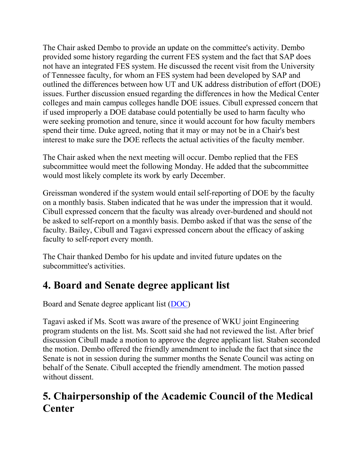The Chair asked Dembo to provide an update on the committee's activity. Dembo provided some history regarding the current FES system and the fact that SAP does not have an integrated FES system. He discussed the recent visit from the University of Tennessee faculty, for whom an FES system had been developed by SAP and outlined the differences between how UT and UK address distribution of effort (DOE) issues. Further discussion ensued regarding the differences in how the Medical Center colleges and main campus colleges handle DOE issues. Cibull expressed concern that if used improperly a DOE database could potentially be used to harm faculty who were seeking promotion and tenure, since it would account for how faculty members spend their time. Duke agreed, noting that it may or may not be in a Chair's best interest to make sure the DOE reflects the actual activities of the faculty member.

The Chair asked when the next meeting will occur. Dembo replied that the FES subcommittee would meet the following Monday. He added that the subcommittee would most likely complete its work by early December.

Greissman wondered if the system would entail self-reporting of DOE by the faculty on a monthly basis. Staben indicated that he was under the impression that it would. Cibull expressed concern that the faculty was already over-burdened and should not be asked to self-report on a monthly basis. Dembo asked if that was the sense of the faculty. Bailey, Cibull and Tagavi expressed concern about the efficacy of asking faculty to self-report every month.

The Chair thanked Dembo for his update and invited future updates on the subcommittee's activities.

### **4. Board and Senate degree applicant list**

Board and Senate degree applicant list [\(DOC\)](file://nemo.ad.uky.edu/senate/usc/files/August%2004%20Board%20and%20Senate%20Final.doc)

Tagavi asked if Ms. Scott was aware of the presence of WKU joint Engineering program students on the list. Ms. Scott said she had not reviewed the list. After brief discussion Cibull made a motion to approve the degree applicant list. Staben seconded the motion. Dembo offered the friendly amendment to include the fact that since the Senate is not in session during the summer months the Senate Council was acting on behalf of the Senate. Cibull accepted the friendly amendment. The motion passed without dissent.

## **5. Chairpersonship of the Academic Council of the Medical Center**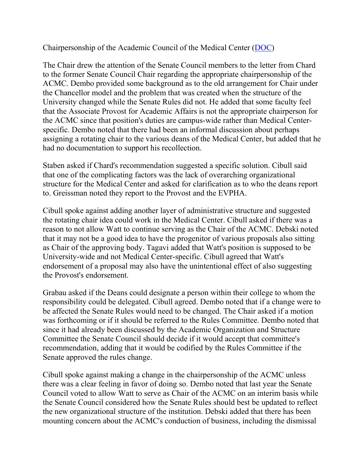Chairpersonship of the Academic Council of the Medical Center [\(DOC\)](file://nemo.ad.uky.edu/senate/usc/files/ACMC%20Chair.doc)

The Chair drew the attention of the Senate Council members to the letter from Chard to the former Senate Council Chair regarding the appropriate chairpersonship of the ACMC. Dembo provided some background as to the old arrangement for Chair under the Chancellor model and the problem that was created when the structure of the University changed while the Senate Rules did not. He added that some faculty feel that the Associate Provost for Academic Affairs is not the appropriate chairperson for the ACMC since that position's duties are campus-wide rather than Medical Centerspecific. Dembo noted that there had been an informal discussion about perhaps assigning a rotating chair to the various deans of the Medical Center, but added that he had no documentation to support his recollection.

Staben asked if Chard's recommendation suggested a specific solution. Cibull said that one of the complicating factors was the lack of overarching organizational structure for the Medical Center and asked for clarification as to who the deans report to. Greissman noted they report to the Provost and the EVPHA.

Cibull spoke against adding another layer of administrative structure and suggested the rotating chair idea could work in the Medical Center. Cibull asked if there was a reason to not allow Watt to continue serving as the Chair of the ACMC. Debski noted that it may not be a good idea to have the progenitor of various proposals also sitting as Chair of the approving body. Tagavi added that Watt's position is supposed to be University-wide and not Medical Center-specific. Cibull agreed that Watt's endorsement of a proposal may also have the unintentional effect of also suggesting the Provost's endorsement.

Grabau asked if the Deans could designate a person within their college to whom the responsibility could be delegated. Cibull agreed. Dembo noted that if a change were to be affected the Senate Rules would need to be changed. The Chair asked if a motion was forthcoming or if it should be referred to the Rules Committee. Dembo noted that since it had already been discussed by the Academic Organization and Structure Committee the Senate Council should decide if it would accept that committee's recommendation, adding that it would be codified by the Rules Committee if the Senate approved the rules change.

Cibull spoke against making a change in the chairpersonship of the ACMC unless there was a clear feeling in favor of doing so. Dembo noted that last year the Senate Council voted to allow Watt to serve as Chair of the ACMC on an interim basis while the Senate Council considered how the Senate Rules should best be updated to reflect the new organizational structure of the institution. Debski added that there has been mounting concern about the ACMC's conduction of business, including the dismissal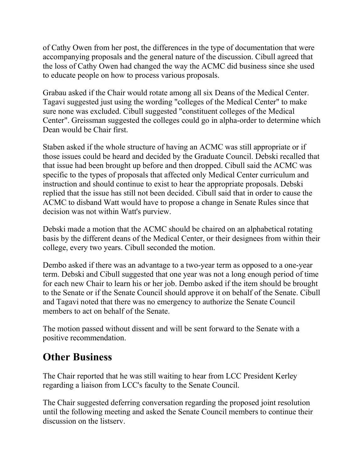of Cathy Owen from her post, the differences in the type of documentation that were accompanying proposals and the general nature of the discussion. Cibull agreed that the loss of Cathy Owen had changed the way the ACMC did business since she used to educate people on how to process various proposals.

Grabau asked if the Chair would rotate among all six Deans of the Medical Center. Tagavi suggested just using the wording "colleges of the Medical Center" to make sure none was excluded. Cibull suggested "constituent colleges of the Medical Center". Greissman suggested the colleges could go in alpha-order to determine which Dean would be Chair first.

Staben asked if the whole structure of having an ACMC was still appropriate or if those issues could be heard and decided by the Graduate Council. Debski recalled that that issue had been brought up before and then dropped. Cibull said the ACMC was specific to the types of proposals that affected only Medical Center curriculum and instruction and should continue to exist to hear the appropriate proposals. Debski replied that the issue has still not been decided. Cibull said that in order to cause the ACMC to disband Watt would have to propose a change in Senate Rules since that decision was not within Watt's purview.

Debski made a motion that the ACMC should be chaired on an alphabetical rotating basis by the different deans of the Medical Center, or their designees from within their college, every two years. Cibull seconded the motion.

Dembo asked if there was an advantage to a two-year term as opposed to a one-year term. Debski and Cibull suggested that one year was not a long enough period of time for each new Chair to learn his or her job. Dembo asked if the item should be brought to the Senate or if the Senate Council should approve it on behalf of the Senate. Cibull and Tagavi noted that there was no emergency to authorize the Senate Council members to act on behalf of the Senate.

The motion passed without dissent and will be sent forward to the Senate with a positive recommendation.

#### **Other Business**

The Chair reported that he was still waiting to hear from LCC President Kerley regarding a liaison from LCC's faculty to the Senate Council.

The Chair suggested deferring conversation regarding the proposed joint resolution until the following meeting and asked the Senate Council members to continue their discussion on the listserv.